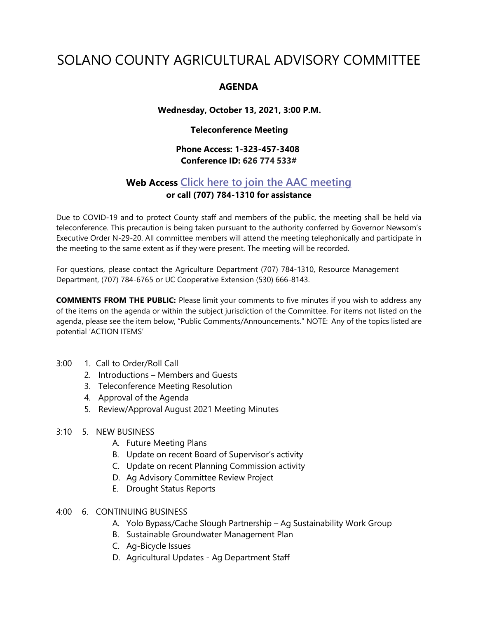# SOLANO COUNTY AGRICULTURAL ADVISORY COMMITTEE

## **AGENDA**

#### **Wednesday, October 13, 2021, 3:00 P.M.**

#### **Teleconference Meeting**

## **Phone Access: 1-323-457-3408 Conference ID: 626 774 533#**

# **Web Access Click here to join the AAC [meeting](https://teams.microsoft.com/l/meetup-join/19%3ameeting_MDI1ZDEyYmItY2I4Zi00MWMxLWIxM2ItNzRiYmRmMWY5ZGNk%40thread.v2/0?context=%7b%22Tid%22%3a%225e7f20ac-e5f1-4f83-8c3b-ce44b8486421%22%2c%22Oid%22%3a%229b7e0b10-9feb-4114-92ef-db737a66fd13%22%7d) or call (707) 784-1310 for assistance**

Due to COVID-19 and to protect County staff and members of the public, the meeting shall be held via teleconference. This precaution is being taken pursuant to the authority conferred by Governor Newsom's Executive Order N-29-20. All committee members will attend the meeting telephonically and participate in the meeting to the same extent as if they were present. The meeting will be recorded.

For questions, please contact the Agriculture Department (707) 784-1310, Resource Management Department, (707) 784-6765 or UC Cooperative Extension (530) 666-8143.

**COMMENTS FROM THE PUBLIC:** Please limit your comments to five minutes if you wish to address any of the items on the agenda or within the subject jurisdiction of the Committee. For items not listed on the agenda, please see the item below, "Public Comments/Announcements." NOTE: Any of the topics listed are potential 'ACTION ITEMS'

- 3:00 1. Call to Order/Roll Call
	- 2. Introductions Members and Guests
	- 3. Teleconference Meeting Resolution
	- 4. Approval of the Agenda
	- 5. Review/Approval August 2021 Meeting Minutes
- 3:10 5. NEW BUSINESS
	- A. Future Meeting Plans
	- B. Update on recent Board of Supervisor's activity
	- C. Update on recent Planning Commission activity
	- D. Ag Advisory Committee Review Project
	- E. Drought Status Reports
- 4:00 6. CONTINUING BUSINESS
	- A. Yolo Bypass/Cache Slough Partnership Ag Sustainability Work Group
	- B. Sustainable Groundwater Management Plan
	- C. Ag-Bicycle Issues
	- D. Agricultural Updates Ag Department Staff